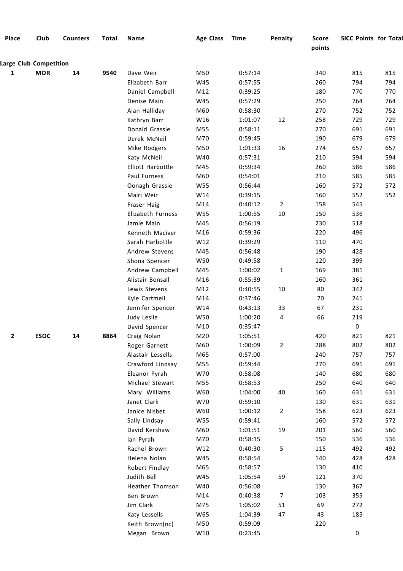| Place                  | Club        | <b>Counters</b> | <b>Total</b> | Name              | <b>Age Class</b> | <b>Time</b> | Penalty        | <b>Score</b><br>points | <b>SICC Points for Total</b> |     |
|------------------------|-------------|-----------------|--------------|-------------------|------------------|-------------|----------------|------------------------|------------------------------|-----|
| Large Club Competition |             |                 |              |                   |                  |             |                |                        |                              |     |
| 1                      | <b>MOR</b>  | 14              | 9540         | Dave Weir         | M50              | 0:57:14     |                | 340                    | 815                          | 815 |
|                        |             |                 |              | Elizabeth Barr    | W45              | 0:57:55     |                | 260                    | 794                          | 794 |
|                        |             |                 |              | Daniel Campbell   | M12              | 0:39:25     |                | 180                    | 770                          | 770 |
|                        |             |                 |              | Denise Main       | W45              | 0:57:29     |                | 250                    | 764                          | 764 |
|                        |             |                 |              | Alan Halliday     | M60              | 0:58:30     |                | 270                    | 752                          | 752 |
|                        |             |                 |              | Kathryn Barr      | W16              | 1:01:07     | 12             | 258                    | 729                          | 729 |
|                        |             |                 |              | Donald Grassie    | M55              | 0:58:11     |                | 270                    | 691                          | 691 |
|                        |             |                 |              | Derek McNeil      | M70              | 0:59:45     |                | 190                    | 679                          | 679 |
|                        |             |                 |              | Mike Rodgers      | M50              | 1:01:33     | 16             | 274                    | 657                          | 657 |
|                        |             |                 |              | Katy McNeil       | W40              | 0:57:31     |                | 210                    | 594                          | 594 |
|                        |             |                 |              | Elliott Harbottle | M45              | 0:59:34     |                | 260                    | 586                          | 586 |
|                        |             |                 |              | Paul Furness      | M60              | 0:54:01     |                | 210                    | 585                          | 585 |
|                        |             |                 |              | Oonagh Grassie    | W55              | 0:56:44     |                | 160                    | 572                          | 572 |
|                        |             |                 |              | Mairi Weir        | W14              | 0:39:15     |                | 160                    | 552                          | 552 |
|                        |             |                 |              | Fraser Haig       | M14              | 0:40:12     | $\overline{2}$ | 158                    | 545                          |     |
|                        |             |                 |              | Elizabeth Furness | W55              | 1:00:55     | $10\,$         | 150                    | 536                          |     |
|                        |             |                 |              | Jamie Main        | M45              | 0:56:19     |                | 230                    | 518                          |     |
|                        |             |                 |              | Kenneth Maciver   | M16              | 0:59:36     |                | 220                    | 496                          |     |
|                        |             |                 |              | Sarah Harbottle   | W12              | 0:39:29     |                | 110                    | 470                          |     |
|                        |             |                 |              | Andrew Stevens    | M45              | 0:56:48     |                | 190                    | 428                          |     |
|                        |             |                 |              | Shona Spencer     | W50              | 0:49:58     |                | 120                    | 399                          |     |
|                        |             |                 |              | Andrew Campbell   | M45              | 1:00:02     | $1\,$          | 169                    | 381                          |     |
|                        |             |                 |              | Alistair Bonsall  | M16              | 0:55:39     |                | 160                    | 361                          |     |
|                        |             |                 |              | Lewis Stevens     | M12              | 0:40:55     | 10             | 80                     | 342                          |     |
|                        |             |                 |              | Kyle Cartmell     | M14              | 0:37:46     |                | 70                     | 241                          |     |
|                        |             |                 |              | Jennifer Spencer  | W14              | 0:43:13     | 33             | 67                     | 231                          |     |
|                        |             |                 |              | Judy Leslie       | W50              | 1:00:20     | 4              | 66                     | 219                          |     |
|                        |             |                 |              | David Spencer     | M10              | 0:35:47     |                |                        | $\pmb{0}$                    |     |
| 2                      | <b>ESOC</b> | 14              | 8864         | Craig Nolan       | M20              | 1:05:51     |                | 420                    | 821                          | 821 |
|                        |             |                 |              | Roger Garnett     | M60              | 1:00:09     | $\overline{2}$ | 288                    | 802                          | 802 |
|                        |             |                 |              | Alastair Lessells | M65              | 0:57:00     |                | 240                    | 757                          | 757 |
|                        |             |                 |              | Crawford Lindsay  | M55              | 0:59:44     |                | 270                    | 691                          | 691 |
|                        |             |                 |              | Eleanor Pyrah     | W70              | 0:58:08     |                | 140                    | 680                          | 680 |
|                        |             |                 |              | Michael Stewart   | M55              | 0:58:53     |                | 250                    | 640                          | 640 |
|                        |             |                 |              | Mary Williams     | W60              | 1:04:00     | 40             | 160                    | 631                          | 631 |
|                        |             |                 |              | Janet Clark       | W70              | 0:59:10     |                | 130                    | 631                          | 631 |
|                        |             |                 |              | Janice Nisbet     | W60              | 1:00:12     | $\overline{2}$ | 158                    | 623                          | 623 |
|                        |             |                 |              | Sally Lindsay     | W55              | 0:59:41     |                | 160                    | 572                          | 572 |
|                        |             |                 |              | David Kershaw     | M60              | 1:01:51     | 19             | 201                    | 560                          | 560 |
|                        |             |                 |              | lan Pyrah         | M70              | 0:58:15     |                | 150                    | 536                          | 536 |
|                        |             |                 |              | Rachel Brown      | W12              | 0:40:30     | 5              | 115                    | 492                          | 492 |
|                        |             |                 |              | Helena Nolan      | W45              | 0:58:54     |                | 140                    | 428                          | 428 |
|                        |             |                 |              | Robert Findlay    | M65              | 0:58:57     |                | 130                    | 410                          |     |
|                        |             |                 |              | Judith Bell       | W45              | 1:05:54     | 59             | 121                    | 370                          |     |
|                        |             |                 |              | Heather Thomson   | W40              | 0:56:08     |                | 130                    | 367                          |     |
|                        |             |                 |              | Ben Brown         | M14              | 0:40:38     | $\overline{7}$ | 103                    | 355                          |     |
|                        |             |                 |              | Jim Clark         | M75              | 1:05:02     | 51             | 69                     | 272                          |     |
|                        |             |                 |              | Katy Lessells     | W65              | 1:04:39     | 47             | 43                     | 185                          |     |
|                        |             |                 |              | Keith Brown(nc)   | M50              | 0:59:09     |                | 220                    |                              |     |
|                        |             |                 |              | Megan Brown       | W10              | 0:23:45     |                |                        | 0                            |     |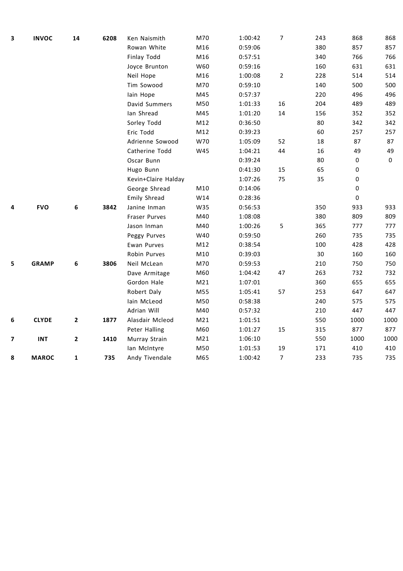| 3 | <b>INVOC</b> | 14 | 6208 | Ken Naismith        | M70             | 1:00:42 | 7              | 243 | 868         | 868         |
|---|--------------|----|------|---------------------|-----------------|---------|----------------|-----|-------------|-------------|
|   |              |    |      | Rowan White         | M16             | 0:59:06 |                | 380 | 857         | 857         |
|   |              |    |      | Finlay Todd         | M16             | 0:57:51 |                | 340 | 766         | 766         |
|   |              |    |      | Joyce Brunton       | W60             | 0:59:16 |                | 160 | 631         | 631         |
|   |              |    |      | Neil Hope           | M16             | 1:00:08 | $\overline{2}$ | 228 | 514         | 514         |
|   |              |    |      | Tim Sowood          | M70             | 0:59:10 |                | 140 | 500         | 500         |
|   |              |    |      | lain Hope           | M45             | 0:57:37 |                | 220 | 496         | 496         |
|   |              |    |      | David Summers       | M50             | 1:01:33 | 16             | 204 | 489         | 489         |
|   |              |    |      | Ian Shread          | M45             | 1:01:20 | 14             | 156 | 352         | 352         |
|   |              |    |      | Sorley Todd         | M12             | 0:36:50 |                | 80  | 342         | 342         |
|   |              |    |      | Eric Todd           | M12             | 0:39:23 |                | 60  | 257         | 257         |
|   |              |    |      | Adrienne Sowood     | W70             | 1:05:09 | 52             | 18  | 87          | 87          |
|   |              |    |      | Catherine Todd      | W45             | 1:04:21 | 44             | 16  | 49          | 49          |
|   |              |    |      | Oscar Bunn          |                 | 0:39:24 |                | 80  | 0           | $\mathbf 0$ |
|   |              |    |      | Hugo Bunn           |                 | 0:41:30 | 15             | 65  | 0           |             |
|   |              |    |      | Kevin+Claire Halday |                 | 1:07:26 | 75             | 35  | $\mathbf 0$ |             |
|   |              |    |      | George Shread       | M10             | 0:14:06 |                |     | 0           |             |
|   |              |    |      | Emily Shread        | W14             | 0:28:36 |                |     | 0           |             |
| 4 | <b>FVO</b>   | 6  | 3842 | Janine Inman        | W35             | 0:56:53 |                | 350 | 933         | 933         |
|   |              |    |      | Fraser Purves       | M40             | 1:08:08 |                | 380 | 809         | 809         |
|   |              |    |      | Jason Inman         | M40             | 1:00:26 | 5              | 365 | 777         | 777         |
|   |              |    |      | Peggy Purves        | W40             | 0:59:50 |                | 260 | 735         | 735         |
|   |              |    |      | Ewan Purves         | M12             | 0:38:54 |                | 100 | 428         | 428         |
|   |              |    |      | Robin Purves        | M10             | 0:39:03 |                | 30  | 160         | 160         |
| 5 | <b>GRAMP</b> | 6  | 3806 | Neil McLean         | M70             | 0:59:53 |                | 210 | 750         | 750         |
|   |              |    |      | Dave Armitage       | M60             | 1:04:42 | 47             | 263 | 732         | 732         |
|   |              |    |      | Gordon Hale         | M <sub>21</sub> | 1:07:01 |                | 360 | 655         | 655         |
|   |              |    |      | Robert Daly         | M55             | 1:05:41 | 57             | 253 | 647         | 647         |
|   |              |    |      | Iain McLeod         | M50             | 0:58:38 |                | 240 | 575         | 575         |
|   |              |    |      | Adrian Will         | M40             | 0:57:32 |                | 210 | 447         | 447         |
| 6 | <b>CLYDE</b> | 2  | 1877 | Alasdair Mcleod     | M21             | 1:01:51 |                | 550 | 1000        | 1000        |
|   |              |    |      | Peter Halling       | M60             | 1:01:27 | 15             | 315 | 877         | 877         |
| 7 | <b>INT</b>   | 2  | 1410 | Murray Strain       | M21             | 1:06:10 |                | 550 | 1000        | 1000        |
|   |              |    |      | lan McIntyre        | M50             | 1:01:53 | 19             | 171 | 410         | 410         |
| 8 | <b>MAROC</b> | 1  | 735  | Andy Tivendale      | M65             | 1:00:42 | $\overline{7}$ | 233 | 735         | 735         |